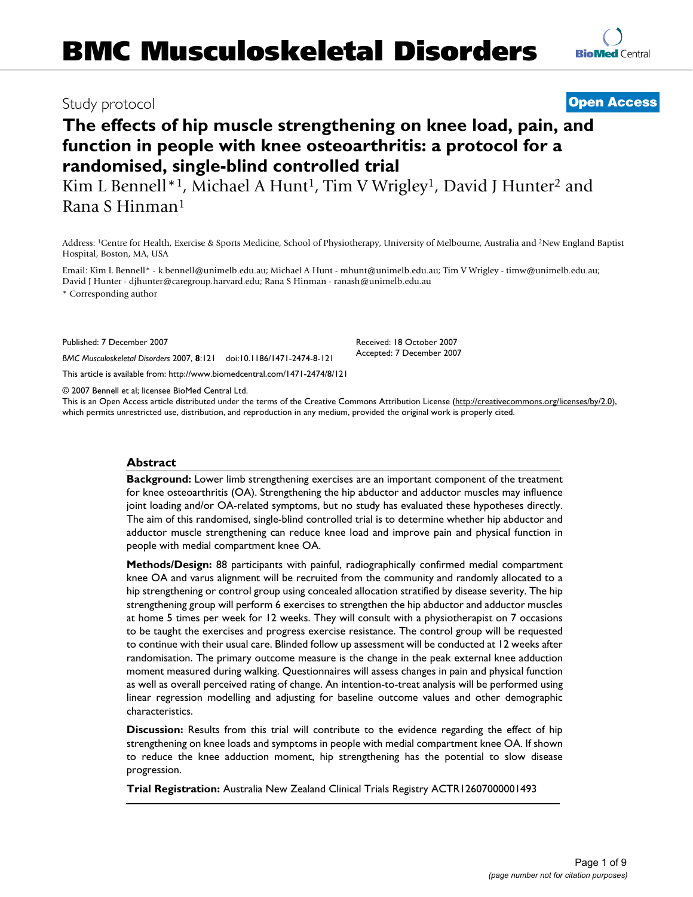# Study protocol **[Open Access](http://www.biomedcentral.com/info/about/charter/)**

# **The effects of hip muscle strengthening on knee load, pain, and function in people with knee osteoarthritis: a protocol for a randomised, single-blind controlled trial**

Kim L Bennell<sup>\*1</sup>, Michael A Hunt<sup>1</sup>, Tim V Wrigley<sup>1</sup>, David J Hunter<sup>2</sup> and Rana S Hinman1

Address: 1Centre for Health, Exercise & Sports Medicine, School of Physiotherapy, University of Melbourne, Australia and 2New England Baptist Hospital, Boston, MA, USA

Email: Kim L Bennell\* - k.bennell@unimelb.edu.au; Michael A Hunt - mhunt@unimelb.edu.au; Tim V Wrigley - timw@unimelb.edu.au; David J Hunter - djhunter@caregroup.harvard.edu; Rana S Hinman - ranash@unimelb.edu.au

\* Corresponding author

Published: 7 December 2007

*BMC Musculoskeletal Disorders* 2007, **8**:121 doi:10.1186/1471-2474-8-121

[This article is available from: http://www.biomedcentral.com/1471-2474/8/121](http://www.biomedcentral.com/1471-2474/8/121)

© 2007 Bennell et al; licensee BioMed Central Ltd.

This is an Open Access article distributed under the terms of the Creative Commons Attribution License [\(http://creativecommons.org/licenses/by/2.0\)](http://creativecommons.org/licenses/by/2.0), which permits unrestricted use, distribution, and reproduction in any medium, provided the original work is properly cited.

#### **Abstract**

**Background:** Lower limb strengthening exercises are an important component of the treatment for knee osteoarthritis (OA). Strengthening the hip abductor and adductor muscles may influence joint loading and/or OA-related symptoms, but no study has evaluated these hypotheses directly. The aim of this randomised, single-blind controlled trial is to determine whether hip abductor and adductor muscle strengthening can reduce knee load and improve pain and physical function in people with medial compartment knee OA.

**Methods/Design:** 88 participants with painful, radiographically confirmed medial compartment knee OA and varus alignment will be recruited from the community and randomly allocated to a hip strengthening or control group using concealed allocation stratified by disease severity. The hip strengthening group will perform 6 exercises to strengthen the hip abductor and adductor muscles at home 5 times per week for 12 weeks. They will consult with a physiotherapist on 7 occasions to be taught the exercises and progress exercise resistance. The control group will be requested to continue with their usual care. Blinded follow up assessment will be conducted at 12 weeks after randomisation. The primary outcome measure is the change in the peak external knee adduction moment measured during walking. Questionnaires will assess changes in pain and physical function as well as overall perceived rating of change. An intention-to-treat analysis will be performed using linear regression modelling and adjusting for baseline outcome values and other demographic characteristics.

**Discussion:** Results from this trial will contribute to the evidence regarding the effect of hip strengthening on knee loads and symptoms in people with medial compartment knee OA. If shown to reduce the knee adduction moment, hip strengthening has the potential to slow disease progression.

**Trial Registration:** Australia New Zealand Clinical Trials Registry ACTR12607000001493

Received: 18 October 2007 Accepted: 7 December 2007

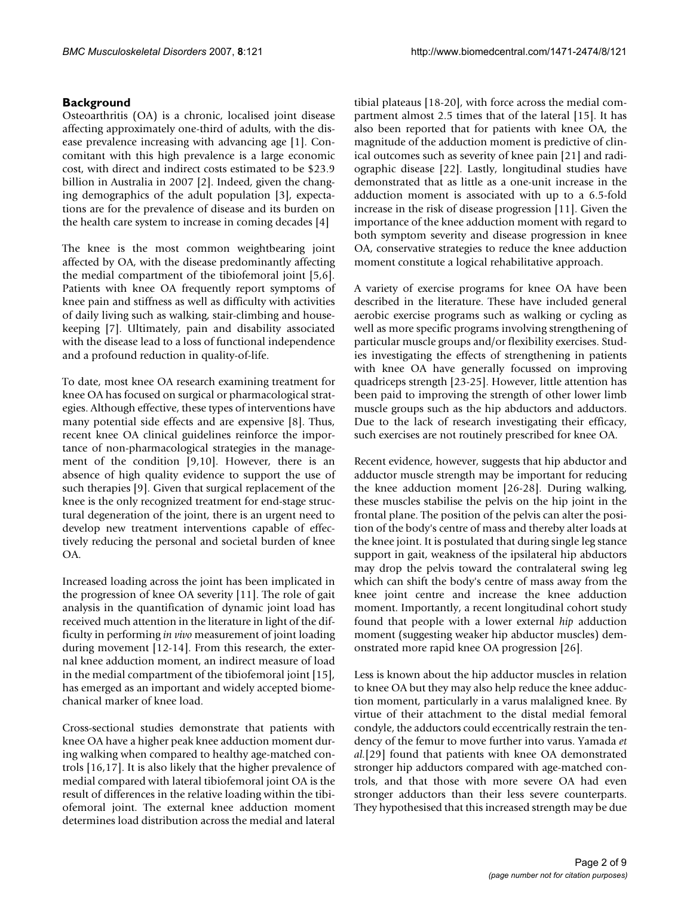# **Background**

Osteoarthritis (OA) is a chronic, localised joint disease affecting approximately one-third of adults, with the disease prevalence increasing with advancing age [1]. Concomitant with this high prevalence is a large economic cost, with direct and indirect costs estimated to be \$23.9 billion in Australia in 2007 [2]. Indeed, given the changing demographics of the adult population [3], expectations are for the prevalence of disease and its burden on the health care system to increase in coming decades [4]

The knee is the most common weightbearing joint affected by OA, with the disease predominantly affecting the medial compartment of the tibiofemoral joint [5,6]. Patients with knee OA frequently report symptoms of knee pain and stiffness as well as difficulty with activities of daily living such as walking, stair-climbing and housekeeping [7]. Ultimately, pain and disability associated with the disease lead to a loss of functional independence and a profound reduction in quality-of-life.

To date, most knee OA research examining treatment for knee OA has focused on surgical or pharmacological strategies. Although effective, these types of interventions have many potential side effects and are expensive [8]. Thus, recent knee OA clinical guidelines reinforce the importance of non-pharmacological strategies in the management of the condition [9,10]. However, there is an absence of high quality evidence to support the use of such therapies [9]. Given that surgical replacement of the knee is the only recognized treatment for end-stage structural degeneration of the joint, there is an urgent need to develop new treatment interventions capable of effectively reducing the personal and societal burden of knee OA.

Increased loading across the joint has been implicated in the progression of knee OA severity [11]. The role of gait analysis in the quantification of dynamic joint load has received much attention in the literature in light of the difficulty in performing *in vivo* measurement of joint loading during movement [12-14]. From this research, the external knee adduction moment, an indirect measure of load in the medial compartment of the tibiofemoral joint [15], has emerged as an important and widely accepted biomechanical marker of knee load.

Cross-sectional studies demonstrate that patients with knee OA have a higher peak knee adduction moment during walking when compared to healthy age-matched controls [16,17]. It is also likely that the higher prevalence of medial compared with lateral tibiofemoral joint OA is the result of differences in the relative loading within the tibiofemoral joint. The external knee adduction moment determines load distribution across the medial and lateral

tibial plateaus [18-20], with force across the medial compartment almost 2.5 times that of the lateral [15]. It has also been reported that for patients with knee OA, the magnitude of the adduction moment is predictive of clinical outcomes such as severity of knee pain [21] and radiographic disease [22]. Lastly, longitudinal studies have demonstrated that as little as a one-unit increase in the adduction moment is associated with up to a 6.5-fold increase in the risk of disease progression [11]. Given the importance of the knee adduction moment with regard to both symptom severity and disease progression in knee OA, conservative strategies to reduce the knee adduction moment constitute a logical rehabilitative approach.

A variety of exercise programs for knee OA have been described in the literature. These have included general aerobic exercise programs such as walking or cycling as well as more specific programs involving strengthening of particular muscle groups and/or flexibility exercises. Studies investigating the effects of strengthening in patients with knee OA have generally focussed on improving quadriceps strength [23-25]. However, little attention has been paid to improving the strength of other lower limb muscle groups such as the hip abductors and adductors. Due to the lack of research investigating their efficacy, such exercises are not routinely prescribed for knee OA.

Recent evidence, however, suggests that hip abductor and adductor muscle strength may be important for reducing the knee adduction moment [26-28]. During walking, these muscles stabilise the pelvis on the hip joint in the frontal plane. The position of the pelvis can alter the position of the body's centre of mass and thereby alter loads at the knee joint. It is postulated that during single leg stance support in gait, weakness of the ipsilateral hip abductors may drop the pelvis toward the contralateral swing leg which can shift the body's centre of mass away from the knee joint centre and increase the knee adduction moment. Importantly, a recent longitudinal cohort study found that people with a lower external *hip* adduction moment (suggesting weaker hip abductor muscles) demonstrated more rapid knee OA progression [26].

Less is known about the hip adductor muscles in relation to knee OA but they may also help reduce the knee adduction moment, particularly in a varus malaligned knee. By virtue of their attachment to the distal medial femoral condyle, the adductors could eccentrically restrain the tendency of the femur to move further into varus. Yamada *et al.*[29] found that patients with knee OA demonstrated stronger hip adductors compared with age-matched controls, and that those with more severe OA had even stronger adductors than their less severe counterparts. They hypothesised that this increased strength may be due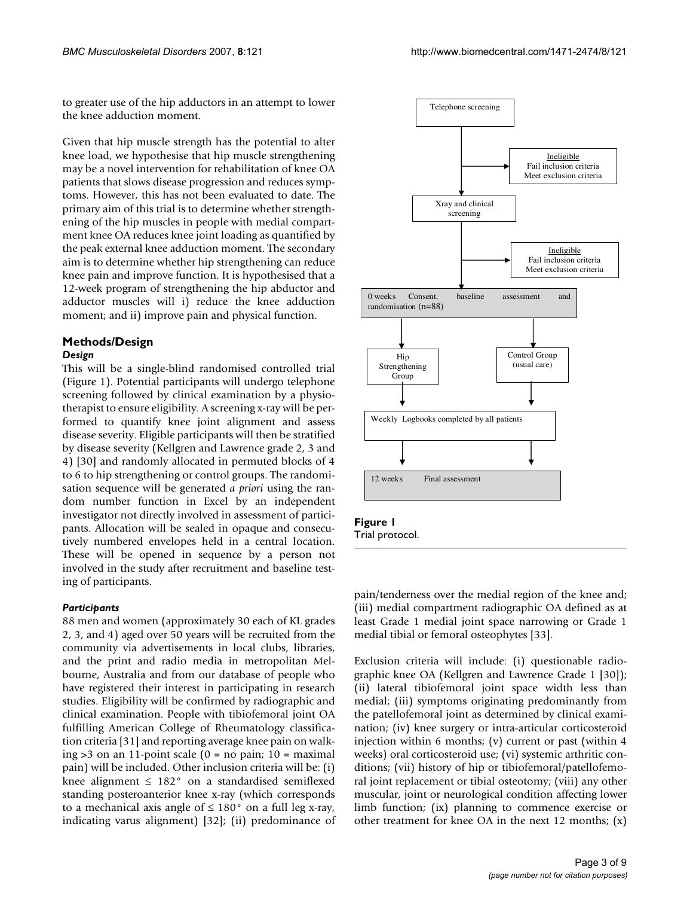to greater use of the hip adductors in an attempt to lower the knee adduction moment.

Given that hip muscle strength has the potential to alter knee load, we hypothesise that hip muscle strengthening may be a novel intervention for rehabilitation of knee OA patients that slows disease progression and reduces symptoms. However, this has not been evaluated to date. The primary aim of this trial is to determine whether strengthening of the hip muscles in people with medial compartment knee OA reduces knee joint loading as quantified by the peak external knee adduction moment. The secondary aim is to determine whether hip strengthening can reduce knee pain and improve function. It is hypothesised that a 12-week program of strengthening the hip abductor and adductor muscles will i) reduce the knee adduction moment; and ii) improve pain and physical function.

#### **Methods/Design** *Design*

This will be a single-blind randomised controlled trial (Figure 1). Potential participants will undergo telephone screening followed by clinical examination by a physiotherapist to ensure eligibility. A screening x-ray will be performed to quantify knee joint alignment and assess disease severity. Eligible participants will then be stratified by disease severity (Kellgren and Lawrence grade 2, 3 and 4) [30] and randomly allocated in permuted blocks of 4 to 6 to hip strengthening or control groups. The randomisation sequence will be generated *a priori* using the random number function in Excel by an independent investigator not directly involved in assessment of participants. Allocation will be sealed in opaque and consecutively numbered envelopes held in a central location. These will be opened in sequence by a person not involved in the study after recruitment and baseline testing of participants.

#### *Participants*

88 men and women (approximately 30 each of KL grades 2, 3, and 4) aged over 50 years will be recruited from the community via advertisements in local clubs, libraries, and the print and radio media in metropolitan Melbourne, Australia and from our database of people who have registered their interest in participating in research studies. Eligibility will be confirmed by radiographic and clinical examination. People with tibiofemoral joint OA fulfilling American College of Rheumatology classification criteria [31] and reporting average knee pain on walking  $>3$  on an 11-point scale (0 = no pain; 10 = maximal pain) will be included. Other inclusion criteria will be: (i) knee alignment ≤ 182° on a standardised semiflexed standing posteroanterior knee x-ray (which corresponds to a mechanical axis angle of  $\leq 180^{\circ}$  on a full leg x-ray, indicating varus alignment) [32]; (ii) predominance of



Trial protocol.

pain/tenderness over the medial region of the knee and; (iii) medial compartment radiographic OA defined as at least Grade 1 medial joint space narrowing or Grade 1 medial tibial or femoral osteophytes [33].

Exclusion criteria will include: (i) questionable radiographic knee OA (Kellgren and Lawrence Grade 1 [30]); (ii) lateral tibiofemoral joint space width less than medial; (iii) symptoms originating predominantly from the patellofemoral joint as determined by clinical examination; (iv) knee surgery or intra-articular corticosteroid injection within 6 months; (v) current or past (within 4 weeks) oral corticosteroid use; (vi) systemic arthritic conditions; (vii) history of hip or tibiofemoral/patellofemoral joint replacement or tibial osteotomy; (viii) any other muscular, joint or neurological condition affecting lower limb function; (ix) planning to commence exercise or other treatment for knee OA in the next 12 months; (x)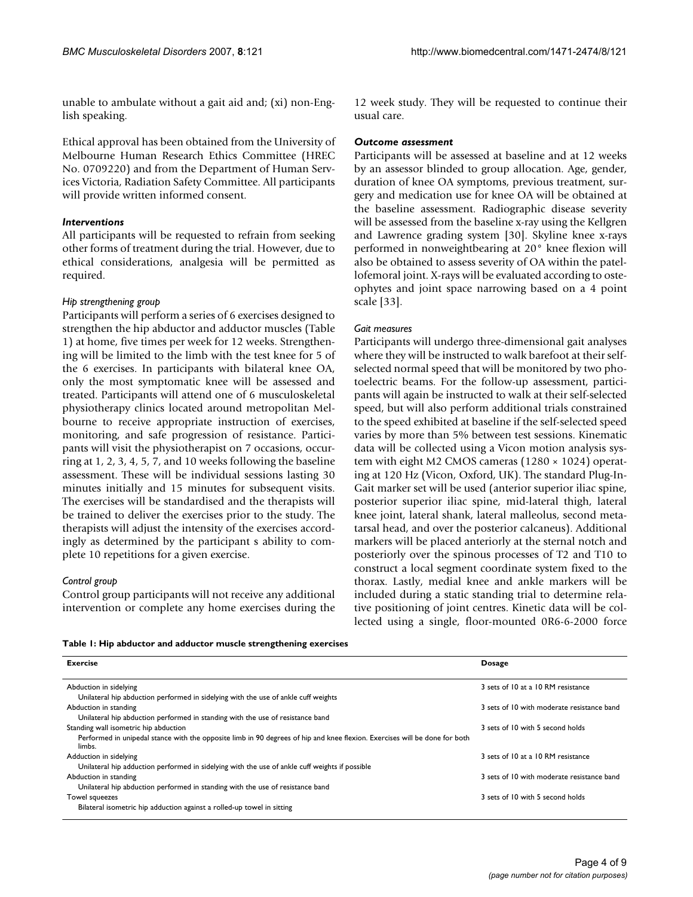unable to ambulate without a gait aid and; (xi) non-English speaking.

Ethical approval has been obtained from the University of Melbourne Human Research Ethics Committee (HREC No. 0709220) and from the Department of Human Services Victoria, Radiation Safety Committee. All participants will provide written informed consent.

#### *Interventions*

All participants will be requested to refrain from seeking other forms of treatment during the trial. However, due to ethical considerations, analgesia will be permitted as required.

#### *Hip strengthening group*

Participants will perform a series of 6 exercises designed to strengthen the hip abductor and adductor muscles (Table 1) at home, five times per week for 12 weeks. Strengthening will be limited to the limb with the test knee for 5 of the 6 exercises. In participants with bilateral knee OA, only the most symptomatic knee will be assessed and treated. Participants will attend one of 6 musculoskeletal physiotherapy clinics located around metropolitan Melbourne to receive appropriate instruction of exercises, monitoring, and safe progression of resistance. Participants will visit the physiotherapist on 7 occasions, occurring at 1, 2, 3, 4, 5, 7, and 10 weeks following the baseline assessment. These will be individual sessions lasting 30 minutes initially and 15 minutes for subsequent visits. The exercises will be standardised and the therapists will be trained to deliver the exercises prior to the study. The therapists will adjust the intensity of the exercises accordingly as determined by the participant s ability to complete 10 repetitions for a given exercise.

#### *Control group*

Control group participants will not receive any additional intervention or complete any home exercises during the

12 week study. They will be requested to continue their usual care.

#### *Outcome assessment*

Participants will be assessed at baseline and at 12 weeks by an assessor blinded to group allocation. Age, gender, duration of knee OA symptoms, previous treatment, surgery and medication use for knee OA will be obtained at the baseline assessment. Radiographic disease severity will be assessed from the baseline x-ray using the Kellgren and Lawrence grading system [30]. Skyline knee x-rays performed in nonweightbearing at 20° knee flexion will also be obtained to assess severity of OA within the patellofemoral joint. X-rays will be evaluated according to osteophytes and joint space narrowing based on a 4 point scale [33].

#### *Gait measures*

Participants will undergo three-dimensional gait analyses where they will be instructed to walk barefoot at their selfselected normal speed that will be monitored by two photoelectric beams. For the follow-up assessment, participants will again be instructed to walk at their self-selected speed, but will also perform additional trials constrained to the speed exhibited at baseline if the self-selected speed varies by more than 5% between test sessions. Kinematic data will be collected using a Vicon motion analysis system with eight M2 CMOS cameras (1280 × 1024) operating at 120 Hz (Vicon, Oxford, UK). The standard Plug-In-Gait marker set will be used (anterior superior iliac spine, posterior superior iliac spine, mid-lateral thigh, lateral knee joint, lateral shank, lateral malleolus, second metatarsal head, and over the posterior calcaneus). Additional markers will be placed anteriorly at the sternal notch and posteriorly over the spinous processes of T2 and T10 to construct a local segment coordinate system fixed to the thorax. Lastly, medial knee and ankle markers will be included during a static standing trial to determine relative positioning of joint centres. Kinetic data will be collected using a single, floor-mounted 0R6-6-2000 force

|  |  | Table 1: Hip abductor and adductor muscle strengthening exercises |  |  |  |
|--|--|-------------------------------------------------------------------|--|--|--|
|--|--|-------------------------------------------------------------------|--|--|--|

| <b>Exercise</b>                                                                                                                      | <b>Dosage</b>                              |
|--------------------------------------------------------------------------------------------------------------------------------------|--------------------------------------------|
| Abduction in sidelying                                                                                                               | 3 sets of 10 at a 10 RM resistance         |
| Unilateral hip abduction performed in sidelying with the use of ankle cuff weights                                                   |                                            |
| Abduction in standing                                                                                                                | 3 sets of 10 with moderate resistance band |
| Unilateral hip abduction performed in standing with the use of resistance band                                                       |                                            |
| Standing wall isometric hip abduction                                                                                                | 3 sets of 10 with 5 second holds           |
| Performed in unipedal stance with the opposite limb in 90 degrees of hip and knee flexion. Exercises will be done for both<br>limbs. |                                            |
| Adduction in sidelying                                                                                                               | 3 sets of 10 at a 10 RM resistance         |
| Unilateral hip adduction performed in sidelying with the use of ankle cuff weights if possible                                       |                                            |
| Abduction in standing                                                                                                                | 3 sets of 10 with moderate resistance band |
| Unilateral hip abduction performed in standing with the use of resistance band                                                       |                                            |
| Towel squeezes                                                                                                                       | 3 sets of 10 with 5 second holds           |
| Bilateral isometric hip adduction against a rolled-up towel in sitting                                                               |                                            |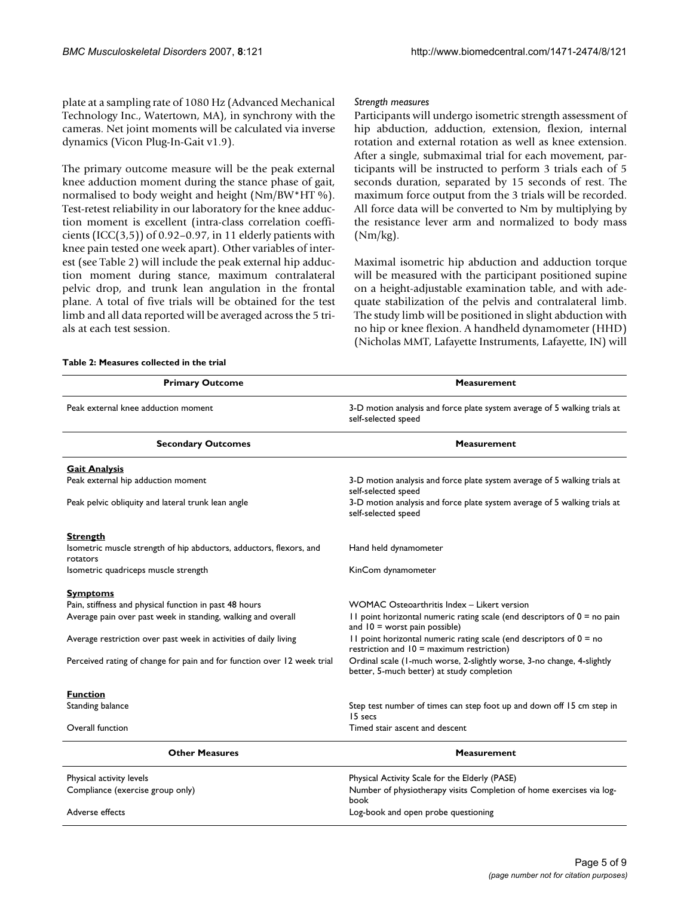plate at a sampling rate of 1080 Hz (Advanced Mechanical Technology Inc., Watertown, MA), in synchrony with the cameras. Net joint moments will be calculated via inverse dynamics (Vicon Plug-In-Gait v1.9).

The primary outcome measure will be the peak external knee adduction moment during the stance phase of gait, normalised to body weight and height (Nm/BW\*HT %). Test-retest reliability in our laboratory for the knee adduction moment is excellent (intra-class correlation coefficients  $(ICC(3,5))$  of 0.92-0.97, in 11 elderly patients with knee pain tested one week apart). Other variables of interest (see Table 2) will include the peak external hip adduction moment during stance, maximum contralateral pelvic drop, and trunk lean angulation in the frontal plane. A total of five trials will be obtained for the test limb and all data reported will be averaged across the 5 trials at each test session.

#### *Strength measures*

Participants will undergo isometric strength assessment of hip abduction, adduction, extension, flexion, internal rotation and external rotation as well as knee extension. After a single, submaximal trial for each movement, participants will be instructed to perform 3 trials each of 5 seconds duration, separated by 15 seconds of rest. The maximum force output from the 3 trials will be recorded. All force data will be converted to Nm by multiplying by the resistance lever arm and normalized to body mass (Nm/kg).

Maximal isometric hip abduction and adduction torque will be measured with the participant positioned supine on a height-adjustable examination table, and with adequate stabilization of the pelvis and contralateral limb. The study limb will be positioned in slight abduction with no hip or knee flexion. A handheld dynamometer (HHD) (Nicholas MMT, Lafayette Instruments, Lafayette, IN) will

| <b>Primary Outcome</b>                                                          | <b>Measurement</b>                                                                                                   |  |  |
|---------------------------------------------------------------------------------|----------------------------------------------------------------------------------------------------------------------|--|--|
| Peak external knee adduction moment                                             | 3-D motion analysis and force plate system average of 5 walking trials at<br>self-selected speed                     |  |  |
| <b>Secondary Outcomes</b>                                                       | <b>Measurement</b>                                                                                                   |  |  |
| <b>Gait Analysis</b>                                                            |                                                                                                                      |  |  |
| Peak external hip adduction moment                                              | 3-D motion analysis and force plate system average of 5 walking trials at<br>self-selected speed                     |  |  |
| Peak pelvic obliquity and lateral trunk lean angle                              | 3-D motion analysis and force plate system average of 5 walking trials at<br>self-selected speed                     |  |  |
| <b>Strength</b>                                                                 |                                                                                                                      |  |  |
| Isometric muscle strength of hip abductors, adductors, flexors, and<br>rotators | Hand held dynamometer                                                                                                |  |  |
| Isometric quadriceps muscle strength                                            | KinCom dynamometer                                                                                                   |  |  |
| <b>Symptoms</b>                                                                 |                                                                                                                      |  |  |
| Pain, stiffness and physical function in past 48 hours                          | WOMAC Osteoarthritis Index - Likert version                                                                          |  |  |
| Average pain over past week in standing, walking and overall                    | II point horizontal numeric rating scale (end descriptors of $0 =$ no pain<br>and $10 =$ worst pain possible)        |  |  |
| Average restriction over past week in activities of daily living                | II point horizontal numeric rating scale (end descriptors of $0 = no$<br>restriction and $10 =$ maximum restriction) |  |  |
| Perceived rating of change for pain and for function over 12 week trial         | Ordinal scale (1-much worse, 2-slightly worse, 3-no change, 4-slightly<br>better, 5-much better) at study completion |  |  |
| <b>Function</b>                                                                 |                                                                                                                      |  |  |
| <b>Standing balance</b>                                                         | Step test number of times can step foot up and down off 15 cm step in<br>15 secs                                     |  |  |
| Overall function                                                                | Timed stair ascent and descent                                                                                       |  |  |
| <b>Other Measures</b>                                                           | <b>Measurement</b>                                                                                                   |  |  |
| Physical activity levels                                                        | Physical Activity Scale for the Elderly (PASE)                                                                       |  |  |
| Compliance (exercise group only)                                                | Number of physiotherapy visits Completion of home exercises via log-<br>book                                         |  |  |
| Adverse effects                                                                 | Log-book and open probe questioning                                                                                  |  |  |

#### **Table 2: Measures collected in the trial**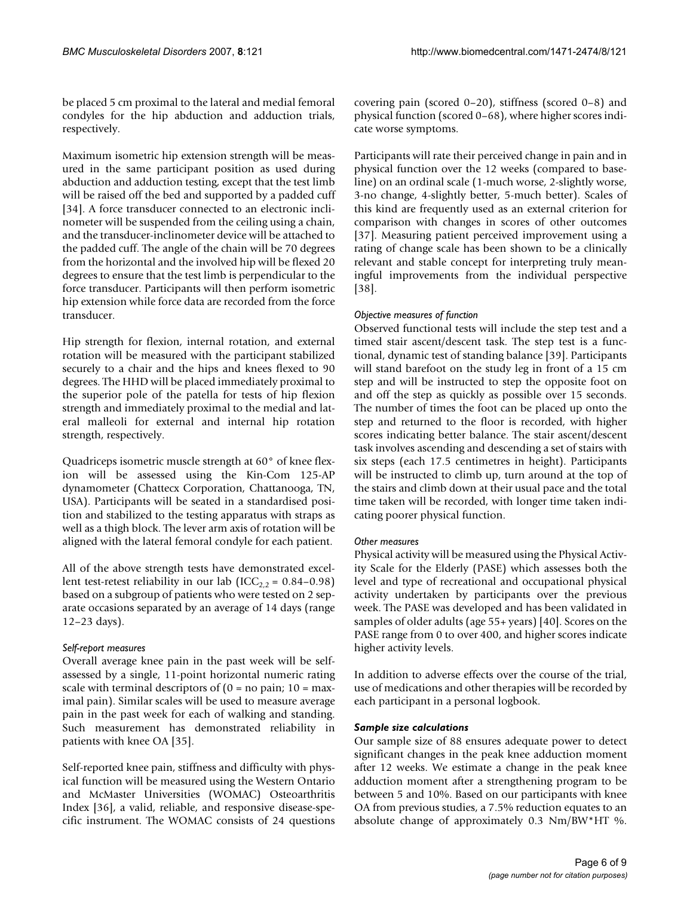be placed 5 cm proximal to the lateral and medial femoral condyles for the hip abduction and adduction trials, respectively.

Maximum isometric hip extension strength will be measured in the same participant position as used during abduction and adduction testing, except that the test limb will be raised off the bed and supported by a padded cuff [34]. A force transducer connected to an electronic inclinometer will be suspended from the ceiling using a chain, and the transducer-inclinometer device will be attached to the padded cuff. The angle of the chain will be 70 degrees from the horizontal and the involved hip will be flexed 20 degrees to ensure that the test limb is perpendicular to the force transducer. Participants will then perform isometric hip extension while force data are recorded from the force transducer.

Hip strength for flexion, internal rotation, and external rotation will be measured with the participant stabilized securely to a chair and the hips and knees flexed to 90 degrees. The HHD will be placed immediately proximal to the superior pole of the patella for tests of hip flexion strength and immediately proximal to the medial and lateral malleoli for external and internal hip rotation strength, respectively.

Quadriceps isometric muscle strength at 60° of knee flexion will be assessed using the Kin-Com 125-AP dynamometer (Chattecx Corporation, Chattanooga, TN, USA). Participants will be seated in a standardised position and stabilized to the testing apparatus with straps as well as a thigh block. The lever arm axis of rotation will be aligned with the lateral femoral condyle for each patient.

All of the above strength tests have demonstrated excellent test-retest reliability in our lab (ICC<sub>2,2</sub> = 0.84–0.98) based on a subgroup of patients who were tested on 2 separate occasions separated by an average of 14 days (range 12–23 days).

#### *Self-report measures*

Overall average knee pain in the past week will be selfassessed by a single, 11-point horizontal numeric rating scale with terminal descriptors of  $(0 = no \, pain; 10 = max$ imal pain). Similar scales will be used to measure average pain in the past week for each of walking and standing. Such measurement has demonstrated reliability in patients with knee OA [35].

Self-reported knee pain, stiffness and difficulty with physical function will be measured using the Western Ontario and McMaster Universities (WOMAC) Osteoarthritis Index [36], a valid, reliable, and responsive disease-specific instrument. The WOMAC consists of 24 questions covering pain (scored 0–20), stiffness (scored 0–8) and physical function (scored 0–68), where higher scores indicate worse symptoms.

Participants will rate their perceived change in pain and in physical function over the 12 weeks (compared to baseline) on an ordinal scale (1-much worse, 2-slightly worse, 3-no change, 4-slightly better, 5-much better). Scales of this kind are frequently used as an external criterion for comparison with changes in scores of other outcomes [37]. Measuring patient perceived improvement using a rating of change scale has been shown to be a clinically relevant and stable concept for interpreting truly meaningful improvements from the individual perspective [38].

# *Objective measures of function*

Observed functional tests will include the step test and a timed stair ascent/descent task. The step test is a functional, dynamic test of standing balance [39]. Participants will stand barefoot on the study leg in front of a 15 cm step and will be instructed to step the opposite foot on and off the step as quickly as possible over 15 seconds. The number of times the foot can be placed up onto the step and returned to the floor is recorded, with higher scores indicating better balance. The stair ascent/descent task involves ascending and descending a set of stairs with six steps (each 17.5 centimetres in height). Participants will be instructed to climb up, turn around at the top of the stairs and climb down at their usual pace and the total time taken will be recorded, with longer time taken indicating poorer physical function.

# *Other measures*

Physical activity will be measured using the Physical Activity Scale for the Elderly (PASE) which assesses both the level and type of recreational and occupational physical activity undertaken by participants over the previous week. The PASE was developed and has been validated in samples of older adults (age 55+ years) [40]. Scores on the PASE range from 0 to over 400, and higher scores indicate higher activity levels.

In addition to adverse effects over the course of the trial, use of medications and other therapies will be recorded by each participant in a personal logbook.

# *Sample size calculations*

Our sample size of 88 ensures adequate power to detect significant changes in the peak knee adduction moment after 12 weeks. We estimate a change in the peak knee adduction moment after a strengthening program to be between 5 and 10%. Based on our participants with knee OA from previous studies, a 7.5% reduction equates to an absolute change of approximately 0.3 Nm/BW\*HT %.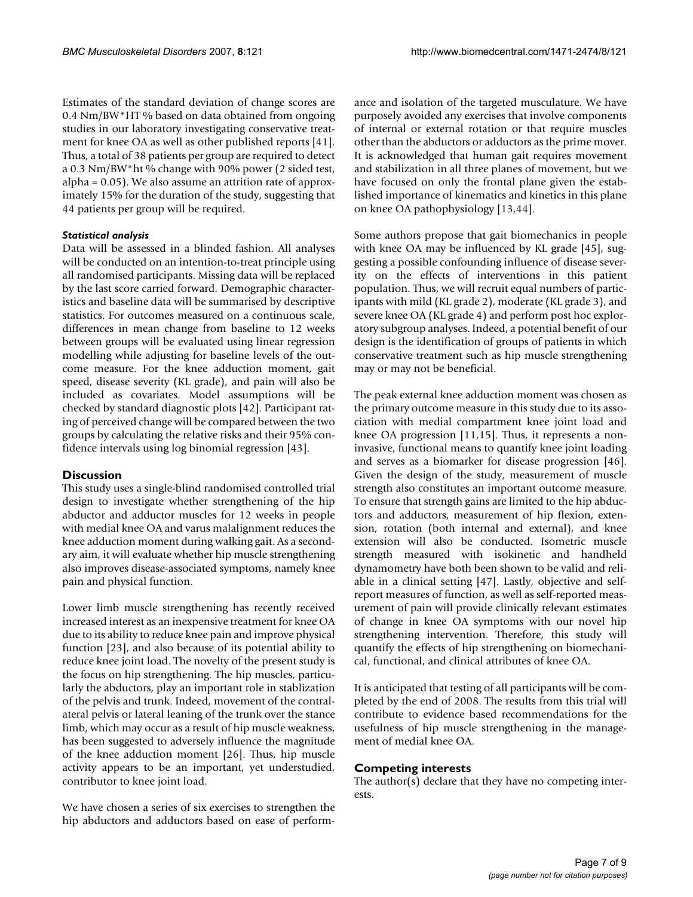Estimates of the standard deviation of change scores are 0.4 Nm/BW\*HT % based on data obtained from ongoing studies in our laboratory investigating conservative treatment for knee OA as well as other published reports [41]. Thus, a total of 38 patients per group are required to detect a 0.3 Nm/BW\*ht % change with 90% power (2 sided test, alpha = 0.05). We also assume an attrition rate of approximately 15% for the duration of the study, suggesting that 44 patients per group will be required.

# *Statistical analysis*

Data will be assessed in a blinded fashion. All analyses will be conducted on an intention-to-treat principle using all randomised participants. Missing data will be replaced by the last score carried forward. Demographic characteristics and baseline data will be summarised by descriptive statistics. For outcomes measured on a continuous scale, differences in mean change from baseline to 12 weeks between groups will be evaluated using linear regression modelling while adjusting for baseline levels of the outcome measure. For the knee adduction moment, gait speed, disease severity (KL grade), and pain will also be included as covariates. Model assumptions will be checked by standard diagnostic plots [42]. Participant rating of perceived change will be compared between the two groups by calculating the relative risks and their 95% confidence intervals using log binomial regression [43].

# **Discussion**

This study uses a single-blind randomised controlled trial design to investigate whether strengthening of the hip abductor and adductor muscles for 12 weeks in people with medial knee OA and varus malalignment reduces the knee adduction moment during walking gait. As a secondary aim, it will evaluate whether hip muscle strengthening also improves disease-associated symptoms, namely knee pain and physical function.

Lower limb muscle strengthening has recently received increased interest as an inexpensive treatment for knee OA due to its ability to reduce knee pain and improve physical function [23], and also because of its potential ability to reduce knee joint load. The novelty of the present study is the focus on hip strengthening. The hip muscles, particularly the abductors, play an important role in stablization of the pelvis and trunk. Indeed, movement of the contralateral pelvis or lateral leaning of the trunk over the stance limb, which may occur as a result of hip muscle weakness, has been suggested to adversely influence the magnitude of the knee adduction moment [26]. Thus, hip muscle activity appears to be an important, yet understudied, contributor to knee joint load.

We have chosen a series of six exercises to strengthen the hip abductors and adductors based on ease of performance and isolation of the targeted musculature. We have purposely avoided any exercises that involve components of internal or external rotation or that require muscles other than the abductors or adductors as the prime mover. It is acknowledged that human gait requires movement and stabilization in all three planes of movement, but we have focused on only the frontal plane given the established importance of kinematics and kinetics in this plane on knee OA pathophysiology [13,44].

Some authors propose that gait biomechanics in people with knee OA may be influenced by KL grade [45], suggesting a possible confounding influence of disease severity on the effects of interventions in this patient population. Thus, we will recruit equal numbers of participants with mild (KL grade 2), moderate (KL grade 3), and severe knee OA (KL grade 4) and perform post hoc exploratory subgroup analyses. Indeed, a potential benefit of our design is the identification of groups of patients in which conservative treatment such as hip muscle strengthening may or may not be beneficial.

The peak external knee adduction moment was chosen as the primary outcome measure in this study due to its association with medial compartment knee joint load and knee OA progression [11,15]. Thus, it represents a noninvasive, functional means to quantify knee joint loading and serves as a biomarker for disease progression [\[46](#page-8-0)]. Given the design of the study, measurement of muscle strength also constitutes an important outcome measure. To ensure that strength gains are limited to the hip abductors and adductors, measurement of hip flexion, extension, rotation (both internal and external), and knee extension will also be conducted. Isometric muscle strength measured with isokinetic and handheld dynamometry have both been shown to be valid and reliable in a clinical setting [47]. Lastly, objective and selfreport measures of function, as well as self-reported measurement of pain will provide clinically relevant estimates of change in knee OA symptoms with our novel hip strengthening intervention. Therefore, this study will quantify the effects of hip strengthening on biomechanical, functional, and clinical attributes of knee OA.

It is anticipated that testing of all participants will be completed by the end of 2008. The results from this trial will contribute to evidence based recommendations for the usefulness of hip muscle strengthening in the management of medial knee OA.

# **Competing interests**

The author(s) declare that they have no competing interests.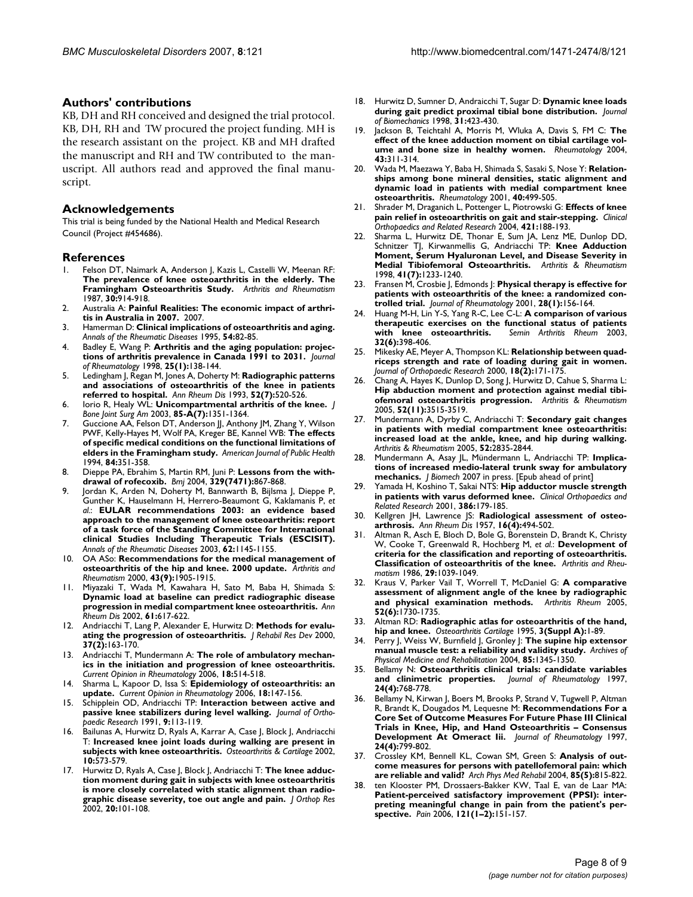#### **Authors' contributions**

KB, DH and RH conceived and designed the trial protocol. KB, DH, RH and TW procured the project funding. MH is the research assistant on the project. KB and MH drafted the manuscript and RH and TW contributed to the manuscript. All authors read and approved the final manuscript.

#### **Acknowledgements**

This trial is being funded by the National Health and Medical Research Council (Project #454686).

#### **References**

- 1. Felson DT, Naimark A, Anderson J, Kazis L, Castelli W, Meenan RF: **The prevalence of knee osteoarthritis in the elderly. The Framingham Osteoarthritis Study.** *Arthritis and Rheumatism* 1987, **30:**914-918.
- 2. Australia A: **Painful Realities: The economic impact of arthritis in Australia in 2007.** 2007.
- 3. Hamerman D: **[Clinical implications of osteoarthritis and aging.](http://www.ncbi.nlm.nih.gov/entrez/query.fcgi?cmd=Retrieve&db=PubMed&dopt=Abstract&list_uids=7702410)** *Annals of the Rheumatic Diseases* 1995, **54:**82-85.
- 4. Badley E, Wang P: **[Arthritis and the aging population: projec](http://www.ncbi.nlm.nih.gov/entrez/query.fcgi?cmd=Retrieve&db=PubMed&dopt=Abstract&list_uids=9458217)[tions of arthritis prevalence in Canada 1991 to 2031.](http://www.ncbi.nlm.nih.gov/entrez/query.fcgi?cmd=Retrieve&db=PubMed&dopt=Abstract&list_uids=9458217)** *Journal of Rheumatology* 1998, **25(1):**138-144.
- 5. Ledingham J, Regan M, Jones A, Doherty M: **[Radiographic patterns](http://www.ncbi.nlm.nih.gov/entrez/query.fcgi?cmd=Retrieve&db=PubMed&dopt=Abstract&list_uids=8346979) [and associations of osteoarthritis of the knee in patients](http://www.ncbi.nlm.nih.gov/entrez/query.fcgi?cmd=Retrieve&db=PubMed&dopt=Abstract&list_uids=8346979) [referred to hospital.](http://www.ncbi.nlm.nih.gov/entrez/query.fcgi?cmd=Retrieve&db=PubMed&dopt=Abstract&list_uids=8346979)** *Ann Rheum Dis* 1993, **52(7):**520-526.
- 6. Iorio R, Healy WL: **[Unicompartmental arthritis of the knee.](http://www.ncbi.nlm.nih.gov/entrez/query.fcgi?cmd=Retrieve&db=PubMed&dopt=Abstract&list_uids=12851363)** *J Bone Joint Surg Am* 2003, **85-A(7):**1351-1364.
- 7. Guccione AA, Felson DT, Anderson JJ, Anthony JM, Zhang Y, Wilson PWF, Kelly-Hayes M, Wolf PA, Kreger BE, Kannel WB: **[The effects](http://www.ncbi.nlm.nih.gov/entrez/query.fcgi?cmd=Retrieve&db=PubMed&dopt=Abstract&list_uids=8129049) [of specific medical conditions on the functional limitations of](http://www.ncbi.nlm.nih.gov/entrez/query.fcgi?cmd=Retrieve&db=PubMed&dopt=Abstract&list_uids=8129049) [elders in the Framingham study.](http://www.ncbi.nlm.nih.gov/entrez/query.fcgi?cmd=Retrieve&db=PubMed&dopt=Abstract&list_uids=8129049)** *American Journal of Public Health* 1994, **84:**351-358.
- 8. Dieppe PA, Ebrahim S, Martin RM, Juni P: **[Lessons from the with](http://www.ncbi.nlm.nih.gov/entrez/query.fcgi?cmd=Retrieve&db=PubMed&dopt=Abstract&list_uids=15485938)[drawal of rofecoxib.](http://www.ncbi.nlm.nih.gov/entrez/query.fcgi?cmd=Retrieve&db=PubMed&dopt=Abstract&list_uids=15485938)** *Bmj* 2004, **329(7471):**867-868.
- 9. Jordan K, Arden N, Doherty M, Bannwarth B, Bijlsma J, Dieppe P, Gunther K, Hauselmann H, Herrero-Beaumont G, Kaklamanis P, *et al.*: **[EULAR recommendations 2003: an evidence based](http://www.ncbi.nlm.nih.gov/entrez/query.fcgi?cmd=Retrieve&db=PubMed&dopt=Abstract&list_uids=14644851) approach to the management of knee osteoarthritis: report [of a task force of the Standing Committee for International](http://www.ncbi.nlm.nih.gov/entrez/query.fcgi?cmd=Retrieve&db=PubMed&dopt=Abstract&list_uids=14644851) clinical Studies Including Therapeutic Trials (ESCISIT).** *Annals of the Rheumatic Diseases* 2003, **62:**1145-1155.
- 10. OA ASo: **Recommendations for the medical management of osteoarthritis of the hip and knee. 2000 update.** *Arthritis and Rheumatism* 2000, **43(9):**1905-1915.
- 11. Miyazaki T, Wada M, Kawahara H, Sato M, Baba H, Shimada S: **[Dynamic load at baseline can predict radiographic disease](http://www.ncbi.nlm.nih.gov/entrez/query.fcgi?cmd=Retrieve&db=PubMed&dopt=Abstract&list_uids=12079903) [progression in medial compartment knee osteoarthritis.](http://www.ncbi.nlm.nih.gov/entrez/query.fcgi?cmd=Retrieve&db=PubMed&dopt=Abstract&list_uids=12079903)** *Ann Rheum Dis* 2002, **61:**617-622.
- 12. Andriacchi T, Lang P, Alexander E, Hurwitz D: **[Methods for evalu](http://www.ncbi.nlm.nih.gov/entrez/query.fcgi?cmd=Retrieve&db=PubMed&dopt=Abstract&list_uids=10850822)[ating the progression of osteoarthritis.](http://www.ncbi.nlm.nih.gov/entrez/query.fcgi?cmd=Retrieve&db=PubMed&dopt=Abstract&list_uids=10850822)** *J Rehabil Res Dev* 2000, **37(2):**163-170.
- 13. Andriacchi T, Mundermann A: **[The role of ambulatory mechan](http://www.ncbi.nlm.nih.gov/entrez/query.fcgi?cmd=Retrieve&db=PubMed&dopt=Abstract&list_uids=16896293)[ics in the initiation and progression of knee osteoarthritis.](http://www.ncbi.nlm.nih.gov/entrez/query.fcgi?cmd=Retrieve&db=PubMed&dopt=Abstract&list_uids=16896293)** *Current Opinion in Rheumatology* 2006, **18:**514-518.
- 14. Sharma L, Kapoor D, Issa S: **[Epidemiology of osteoarthritis: an](http://www.ncbi.nlm.nih.gov/entrez/query.fcgi?cmd=Retrieve&db=PubMed&dopt=Abstract&list_uids=16462520) [update.](http://www.ncbi.nlm.nih.gov/entrez/query.fcgi?cmd=Retrieve&db=PubMed&dopt=Abstract&list_uids=16462520)** *Current Opinion in Rheumatology* 2006, **18:**147-156.
- 15. Schipplein OD, Andriacchi TP: **[Interaction between active and](http://www.ncbi.nlm.nih.gov/entrez/query.fcgi?cmd=Retrieve&db=PubMed&dopt=Abstract&list_uids=1984041) [passive knee stabilizers during level walking.](http://www.ncbi.nlm.nih.gov/entrez/query.fcgi?cmd=Retrieve&db=PubMed&dopt=Abstract&list_uids=1984041)** *Journal of Orthopaedic Research* 1991, **9:**113-119.
- 16. Bailunas A, Hurwitz D, Ryals A, Karrar A, Case J, Block J, Andriacchi T: **[Increased knee joint loads during walking are present in](http://www.ncbi.nlm.nih.gov/entrez/query.fcgi?cmd=Retrieve&db=PubMed&dopt=Abstract&list_uids=12127838) [subjects with knee osteoarthritis.](http://www.ncbi.nlm.nih.gov/entrez/query.fcgi?cmd=Retrieve&db=PubMed&dopt=Abstract&list_uids=12127838)** *Osteoarthritis & Cartilage* 2002, **10:**573-579.
- 17. Hurwitz D, Ryals A, Case J, Block J, Andriacchi T: **[The knee adduc](http://www.ncbi.nlm.nih.gov/entrez/query.fcgi?cmd=Retrieve&db=PubMed&dopt=Abstract&list_uids=11853076)tion moment during gait in subjects with knee osteoarthritis [is more closely correlated with static alignment than radio](http://www.ncbi.nlm.nih.gov/entrez/query.fcgi?cmd=Retrieve&db=PubMed&dopt=Abstract&list_uids=11853076)[graphic disease severity, toe out angle and pain.](http://www.ncbi.nlm.nih.gov/entrez/query.fcgi?cmd=Retrieve&db=PubMed&dopt=Abstract&list_uids=11853076)** *J Orthop Res* 2002, **20:**101-108.
- 18. Hurwitz D, Sumner D, Andraicchi T, Sugar D: **[Dynamic knee loads](http://www.ncbi.nlm.nih.gov/entrez/query.fcgi?cmd=Retrieve&db=PubMed&dopt=Abstract&list_uids=9727339) [during gait predict proximal tibial bone distribution.](http://www.ncbi.nlm.nih.gov/entrez/query.fcgi?cmd=Retrieve&db=PubMed&dopt=Abstract&list_uids=9727339)** *Journal of Biomechanics* 1998, **31:**423-430.
- 19. Jackson B, Teichtahl A, Morris M, Wluka A, Davis S, FM C: **[The](http://www.ncbi.nlm.nih.gov/entrez/query.fcgi?cmd=Retrieve&db=PubMed&dopt=Abstract&list_uids=14679292) [effect of the knee adduction moment on tibial cartilage vol](http://www.ncbi.nlm.nih.gov/entrez/query.fcgi?cmd=Retrieve&db=PubMed&dopt=Abstract&list_uids=14679292)[ume and bone size in healthy women.](http://www.ncbi.nlm.nih.gov/entrez/query.fcgi?cmd=Retrieve&db=PubMed&dopt=Abstract&list_uids=14679292)** *Rheumatology* 2004, **43:**311-314.
- 20. Wada M, Maezawa Y, Baba H, Shimada S, Sasaki S, Nose Y: **[Relation](http://www.ncbi.nlm.nih.gov/entrez/query.fcgi?cmd=Retrieve&db=PubMed&dopt=Abstract&list_uids=11371657)ships among bone mineral densities, static alignment and [dynamic load in patients with medial compartment knee](http://www.ncbi.nlm.nih.gov/entrez/query.fcgi?cmd=Retrieve&db=PubMed&dopt=Abstract&list_uids=11371657) [osteoarthritis.](http://www.ncbi.nlm.nih.gov/entrez/query.fcgi?cmd=Retrieve&db=PubMed&dopt=Abstract&list_uids=11371657)** *Rheumatology* 2001, **40:**499-505.
- 21. Shrader M, Draganich L, Pottenger L, Piotrowski G: **Effects of knee pain relief in osteoarthritis on gait and stair-stepping.** *Clinical Orthopaedics and Related Research* 2004, **421:**188-193.
- 22. Sharma L, Hurwitz DE, Thonar E, Sum JA, Lenz ME, Dunlop DD, Schnitzer TJ, Kirwanmellis G, Andriacchi TP: **Knee Adduction Moment, Serum Hyaluronan Level, and Disease Severity in Medial Tibiofemoral Osteoarthritis.** *Arthritis & Rheumatism* 1998, **41(7):**1233-1240.
- 23. Fransen M, Crosbie J, Edmonds J: **[Physical therapy is effective for](http://www.ncbi.nlm.nih.gov/entrez/query.fcgi?cmd=Retrieve&db=PubMed&dopt=Abstract&list_uids=11196518) [patients with osteoarthritis of the knee: a randomized con](http://www.ncbi.nlm.nih.gov/entrez/query.fcgi?cmd=Retrieve&db=PubMed&dopt=Abstract&list_uids=11196518)[trolled trial.](http://www.ncbi.nlm.nih.gov/entrez/query.fcgi?cmd=Retrieve&db=PubMed&dopt=Abstract&list_uids=11196518)** *Journal of Rheumatology* 2001, **28(1):**156-164.
- 24. Huang M-H, Lin Y-S, Yang R-C, Lee C-L: **[A comparison of various](http://www.ncbi.nlm.nih.gov/entrez/query.fcgi?cmd=Retrieve&db=PubMed&dopt=Abstract&list_uids=12833248) [therapeutic exercises on the functional status of patients](http://www.ncbi.nlm.nih.gov/entrez/query.fcgi?cmd=Retrieve&db=PubMed&dopt=Abstract&list_uids=12833248)** [with knee osteoarthritis.](http://www.ncbi.nlm.nih.gov/entrez/query.fcgi?cmd=Retrieve&db=PubMed&dopt=Abstract&list_uids=12833248) **32(6):**398-406.
- 25. Mikesky AE, Meyer A, Thompson KL: **[Relationship between quad](http://www.ncbi.nlm.nih.gov/entrez/query.fcgi?cmd=Retrieve&db=PubMed&dopt=Abstract&list_uids=10815815)[riceps strength and rate of loading during gait in women.](http://www.ncbi.nlm.nih.gov/entrez/query.fcgi?cmd=Retrieve&db=PubMed&dopt=Abstract&list_uids=10815815)** *Journal of Orthopaedic Research* 2000, **18(2):**171-175.
- 26. Chang A, Hayes K, Dunlop D, Song J, Hurwitz D, Cahue S, Sharma L: **Hip abduction moment and protection against medial tibiofemoral osteoarthritis progression.** *Arthritis & Rheumatism* 2005, **52(11):**3515-3519.
- 27. Mundermann A, Dyrby C, Andriacchi T: **Secondary gait changes in patients with medial compartment knee osteoarthritis: increased load at the ankle, knee, and hip during walking.** *Arthritis & Rheumatism* 2005, **52:**2835-2844.
- 28. Mundermann A, Asay JL, Mündermann L, Andriacchi TP: **Implications of increased medio-lateral trunk sway for ambulatory mechanics.** *J Biomech* 2007 in press. [Epub ahead of print]
- 29. Yamada H, Koshino T, Sakai NTS: **Hip adductor muscle strength in patients with varus deformed knee.** *Clinical Orthopaedics and Related Research* 2001, **386:**179-185.
- 30. Kellgren JH, Lawrence JS: **[Radiological assessment of osteo](http://www.ncbi.nlm.nih.gov/entrez/query.fcgi?cmd=Retrieve&db=PubMed&dopt=Abstract&list_uids=13498604)[arthrosis.](http://www.ncbi.nlm.nih.gov/entrez/query.fcgi?cmd=Retrieve&db=PubMed&dopt=Abstract&list_uids=13498604)** *Ann Rheum Dis* 1957, **16(4):**494-502.
- 31. Altman R, Asch E, Bloch D, Bole G, Borenstein D, Brandt K, Christy W, Cooke T, Greenwald R, Hochberg M, *et al.*: **Development of criteria for the classification and reporting of osteoarthritis. Classification of osteoarthritis of the knee.** *Arthritis and Rheumatism* 1986, **29:**1039-1049.
- 32. Kraus V, Parker Vail T, Worrell T, McDaniel G: **[A comparative](http://www.ncbi.nlm.nih.gov/entrez/query.fcgi?cmd=Retrieve&db=PubMed&dopt=Abstract&list_uids=15934069) [assessment of alignment angle of the knee by radiographic](http://www.ncbi.nlm.nih.gov/entrez/query.fcgi?cmd=Retrieve&db=PubMed&dopt=Abstract&list_uids=15934069) [and physical examination methods.](http://www.ncbi.nlm.nih.gov/entrez/query.fcgi?cmd=Retrieve&db=PubMed&dopt=Abstract&list_uids=15934069)** *Arthritis Rheum* 2005, **52(6):**1730-1735.
- 33. Altman RD: **[Radiographic atlas for osteoarthritis of the hand,](http://www.ncbi.nlm.nih.gov/entrez/query.fcgi?cmd=Retrieve&db=PubMed&dopt=Abstract&list_uids=8581751) [hip and knee.](http://www.ncbi.nlm.nih.gov/entrez/query.fcgi?cmd=Retrieve&db=PubMed&dopt=Abstract&list_uids=8581751)** *Osteoarthritis Cartilage* 1995, **3(Suppl A):**1-89.
- 34. Perry J, Weiss W, Burnfield J, Gronley J: **The supine hip extensor manual muscle test: a reliability and validity study.** *Archives of Physical Medicine and Rehabilitation* 2004, **85:**1345-1350.
- 35. Bellamy N: **[Osteoarthritis clinical trials: candidate variables](http://www.ncbi.nlm.nih.gov/entrez/query.fcgi?cmd=Retrieve&db=PubMed&dopt=Abstract&list_uids=9101516) [and clinimetric properties.](http://www.ncbi.nlm.nih.gov/entrez/query.fcgi?cmd=Retrieve&db=PubMed&dopt=Abstract&list_uids=9101516)** *Journal of Rheumatology* 1997, **24(4):**768-778.
- Bellamy N, Kirwan J, Boers M, Brooks P, Strand V, Tugwell P, Altman R, Brandt K, Dougados M, Lequesne M: **[Recommendations For a](http://www.ncbi.nlm.nih.gov/entrez/query.fcgi?cmd=Retrieve&db=PubMed&dopt=Abstract&list_uids=9101522) Core Set of Outcome Measures For Future Phase III Clinical [Trials in Knee, Hip, and Hand Osteoarthritis – Consensus](http://www.ncbi.nlm.nih.gov/entrez/query.fcgi?cmd=Retrieve&db=PubMed&dopt=Abstract&list_uids=9101522) [Development At Omeract Iii.](http://www.ncbi.nlm.nih.gov/entrez/query.fcgi?cmd=Retrieve&db=PubMed&dopt=Abstract&list_uids=9101522)** *Journal of Rheumatology* 1997, **24(4):**799-802.
- 37. Crossley KM, Bennell KL, Cowan SM, Green S: **[Analysis of out](http://www.ncbi.nlm.nih.gov/entrez/query.fcgi?cmd=Retrieve&db=PubMed&dopt=Abstract&list_uids=15129407)[come measures for persons with patellofemoral pain: which](http://www.ncbi.nlm.nih.gov/entrez/query.fcgi?cmd=Retrieve&db=PubMed&dopt=Abstract&list_uids=15129407) [are reliable and valid?](http://www.ncbi.nlm.nih.gov/entrez/query.fcgi?cmd=Retrieve&db=PubMed&dopt=Abstract&list_uids=15129407)** *Arch Phys Med Rehabil* 2004, **85(5):**815-822.
- 38. ten Klooster PM, Drossaers-Bakker KW, Taal E, van de Laar MA: **Patient-perceived satisfactory improvement (PPSI): inter[preting meaningful change in pain from the patient's per](http://www.ncbi.nlm.nih.gov/entrez/query.fcgi?cmd=Retrieve&db=PubMed&dopt=Abstract&list_uids=16472915)[spective.](http://www.ncbi.nlm.nih.gov/entrez/query.fcgi?cmd=Retrieve&db=PubMed&dopt=Abstract&list_uids=16472915)** *Pain* 2006, **121(1–2):**151-157.